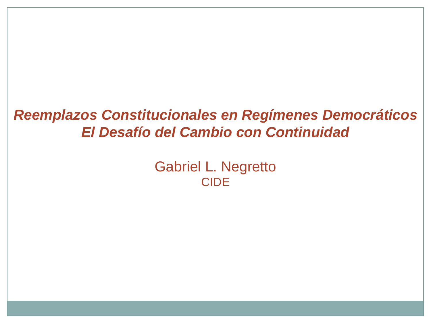#### *Reemplazos Constitucionales en Regímenes Democráticos El Desafío del Cambio con Continuidad*

Gabriel L. Negretto CIDE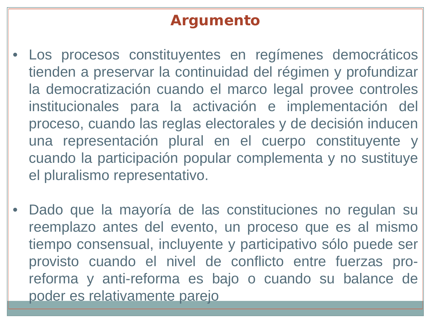# *Argumento*

- Los procesos constituyentes en regímenes democráticos tienden a preservar la continuidad del régimen y profundizar la democratización cuando el marco legal provee controles institucionales para la activación e implementación del proceso, cuando las reglas electorales y de decisión inducen una representación plural en el cuerpo constituyente y cuando la participación popular complementa y no sustituye el pluralismo representativo.
- Dado que la mayoría de las constituciones no regulan su reemplazo antes del evento, un proceso que es al mismo tiempo consensual, incluyente y participativo sólo puede ser provisto cuando el nivel de conflicto entre fuerzas proreforma y anti-reforma es bajo o cuando su balance de poder es relativamente parejo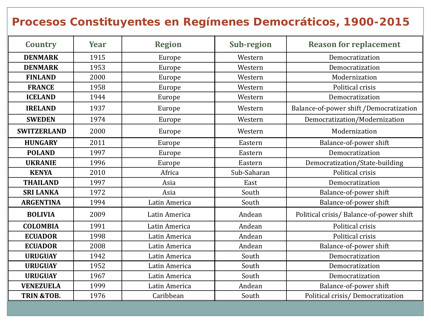#### **Procesos Constituyentes en Regímenes Democráticos, 1900-2015**

| <b>Country</b>     | <b>Year</b> | <b>Region</b>     | <b>Sub-region</b>                          | <b>Reason for replacement</b>            |  |
|--------------------|-------------|-------------------|--------------------------------------------|------------------------------------------|--|
| <b>DENMARK</b>     | 1915        | Europe<br>Western |                                            | Democratization                          |  |
| <b>DENMARK</b>     | 1953        | Europe<br>Western |                                            | Democratization                          |  |
| <b>FINLAND</b>     | 2000        | Europe            | Western                                    | Modernization                            |  |
| <b>FRANCE</b>      | 1958        | Europe            | Western                                    | Political crisis                         |  |
| <b>ICELAND</b>     | 1944        | Europe            | Western                                    | Democratization                          |  |
| <b>IRELAND</b>     | 1937        | Europe            | Western                                    | Balance-of-power shift /Democratization  |  |
| <b>SWEDEN</b>      | 1974        | Europe            | Western                                    | Democratization/Modernization            |  |
| <b>SWITZERLAND</b> | 2000        | Europe            | Western                                    | Modernization                            |  |
| <b>HUNGARY</b>     | 2011        | Europe            | Eastern                                    | Balance-of-power shift                   |  |
| <b>POLAND</b>      | 1997        | Europe            | Eastern                                    | Democratization                          |  |
| <b>UKRANIE</b>     | 1996        | Europe            | Eastern                                    | Democratization/State-building           |  |
| <b>KENYA</b>       | 2010        | Africa            | Sub-Saharan                                | Political crisis                         |  |
| <b>THAILAND</b>    | 1997        | Asia              | East                                       | Democratization                          |  |
| <b>SRI LANKA</b>   | 1972        | Asia              | South                                      | Balance-of-power shift                   |  |
| <b>ARGENTINA</b>   | 1994        | Latin America     | South                                      | Balance-of-power shift                   |  |
| <b>BOLIVIA</b>     | 2009        | Latin America     | Andean                                     | Political crisis/ Balance-of-power shift |  |
| <b>COLOMBIA</b>    | 1991        | Latin America     | Andean                                     | Political crisis                         |  |
| <b>ECUADOR</b>     | 1998        | Latin America     | Andean                                     | Political crisis                         |  |
| <b>ECUADOR</b>     | 2008        | Latin America     | Andean                                     | Balance-of-power shift                   |  |
| <b>URUGUAY</b>     | 1942        | Latin America     | South                                      | Democratization                          |  |
| <b>URUGUAY</b>     | 1952        | Latin America     | South                                      | Democratization                          |  |
| <b>URUGUAY</b>     | 1967        | Latin America     | South                                      | Democratization                          |  |
| <b>VENEZUELA</b>   | 1999        | Latin America     | Andean                                     | Balance-of-power shift                   |  |
| TRIN &TOB.         | 1976        | Caribbean         | Political crisis/ Democratization<br>South |                                          |  |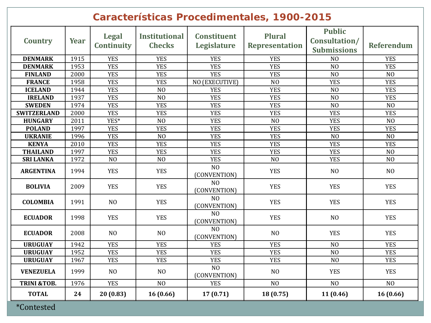#### **Características Procedimentales, 1900-2015**

| Country                | Year | Legal<br>Continuity | <b>Institutional</b><br><b>Checks</b> | <b>Constituent</b><br>Legislature | <b>Plural</b><br><b>Representation</b> | <b>Public</b><br>Consultation/<br><b>Submissions</b> | Referendum     |
|------------------------|------|---------------------|---------------------------------------|-----------------------------------|----------------------------------------|------------------------------------------------------|----------------|
| <b>DENMARK</b>         | 1915 | <b>YES</b>          | <b>YES</b>                            | <b>YES</b>                        | <b>YES</b>                             | N <sub>O</sub>                                       | <b>YES</b>     |
| <b>DENMARK</b>         | 1953 | <b>YES</b>          | <b>YES</b>                            | <b>YES</b>                        | <b>YES</b>                             | N <sub>O</sub>                                       | <b>YES</b>     |
| <b>FINLAND</b>         | 2000 | <b>YES</b>          | <b>YES</b>                            | <b>YES</b>                        | <b>YES</b>                             | N <sub>0</sub>                                       | N <sub>O</sub> |
| <b>FRANCE</b>          | 1958 | <b>YES</b>          | <b>YES</b>                            | NO (EXECUTIVE)                    | N <sub>O</sub>                         | <b>YES</b>                                           | <b>YES</b>     |
| <b>ICELAND</b>         | 1944 | <b>YES</b>          | N <sub>O</sub>                        | <b>YES</b>                        | <b>YES</b>                             | N <sub>O</sub>                                       | <b>YES</b>     |
| <b>IRELAND</b>         | 1937 | <b>YES</b>          | N <sub>O</sub>                        | <b>YES</b>                        | <b>YES</b>                             | N <sub>O</sub>                                       | <b>YES</b>     |
| <b>SWEDEN</b>          | 1974 | <b>YES</b>          | <b>YES</b>                            | <b>YES</b>                        | <b>YES</b>                             | N <sub>O</sub>                                       | N <sub>O</sub> |
| <b>SWITZERLAND</b>     | 2000 | <b>YES</b>          | <b>YES</b>                            | <b>YES</b>                        | <b>YES</b>                             | <b>YES</b>                                           | <b>YES</b>     |
| <b>HUNGARY</b>         | 2011 | YES*                | N <sub>O</sub>                        | <b>YES</b>                        | N <sub>O</sub>                         | <b>YES</b>                                           | N <sub>O</sub> |
| <b>POLAND</b>          | 1997 | <b>YES</b>          | <b>YES</b>                            | <b>YES</b>                        | <b>YES</b>                             | <b>YES</b>                                           | <b>YES</b>     |
| <b>UKRANIE</b>         | 1996 | <b>YES</b>          | NO                                    | <b>YES</b>                        | <b>YES</b>                             | N <sub>O</sub>                                       | N <sub>O</sub> |
| <b>KENYA</b>           | 2010 | <b>YES</b>          | <b>YES</b>                            | <b>YES</b>                        | <b>YES</b>                             | <b>YES</b>                                           | <b>YES</b>     |
| <b>THAILAND</b>        | 1997 | <b>YES</b>          | <b>YES</b>                            | <b>YES</b>                        | <b>YES</b>                             | <b>YES</b>                                           | N <sub>O</sub> |
| <b>SRI LANKA</b>       | 1972 | N <sub>O</sub>      | N <sub>O</sub>                        | <b>YES</b>                        | N <sub>O</sub>                         | <b>YES</b>                                           | N <sub>O</sub> |
| <b>ARGENTINA</b>       | 1994 | <b>YES</b>          | <b>YES</b>                            | N <sub>0</sub><br>(CONVENTION)    | <b>YES</b>                             | N <sub>0</sub>                                       | N <sub>0</sub> |
| <b>BOLIVIA</b>         | 2009 | <b>YES</b>          | <b>YES</b>                            | N <sub>O</sub><br>(CONVENTION)    | <b>YES</b>                             | <b>YES</b>                                           | <b>YES</b>     |
| <b>COLOMBIA</b>        | 1991 | N <sub>O</sub>      | <b>YES</b>                            | N <sub>O</sub><br>(CONVENTION)    | <b>YES</b>                             | <b>YES</b>                                           | <b>YES</b>     |
| <b>ECUADOR</b>         | 1998 | <b>YES</b>          | <b>YES</b>                            | N <sub>O</sub><br>(CONVENTION)    | <b>YES</b>                             | N <sub>O</sub>                                       | <b>YES</b>     |
| <b>ECUADOR</b>         | 2008 | N <sub>O</sub>      | N <sub>O</sub>                        | NO<br>(CONVENTION)                | N <sub>O</sub>                         | <b>YES</b>                                           | <b>YES</b>     |
| <b>URUGUAY</b>         | 1942 | <b>YES</b>          | <b>YES</b>                            | <b>YES</b>                        | <b>YES</b>                             | N <sub>O</sub>                                       | <b>YES</b>     |
| <b>URUGUAY</b>         | 1952 | <b>YES</b>          | <b>YES</b>                            | <b>YES</b>                        | <b>YES</b>                             | N <sub>0</sub>                                       | <b>YES</b>     |
| <b>URUGUAY</b>         | 1967 | <b>YES</b>          | <b>YES</b>                            | <b>YES</b>                        | <b>YES</b>                             | N <sub>O</sub>                                       | <b>YES</b>     |
| <b>VENEZUELA</b>       | 1999 | N <sub>O</sub>      | N <sub>0</sub>                        | N <sub>0</sub><br>(CONVENTION)    | N <sub>O</sub>                         | <b>YES</b>                                           | <b>YES</b>     |
| <b>TRINI &amp;TOB.</b> | 1976 | <b>YES</b>          | N <sub>O</sub>                        | <b>YES</b>                        | N <sub>O</sub>                         | NO                                                   | N <sub>O</sub> |
| <b>TOTAL</b>           | 24   | 20 (0.83)           | 16(0.66)                              | 17(0.71)                          | 18 (0.75)                              | 11(0.46)                                             | 16(0.66)       |

\*Contested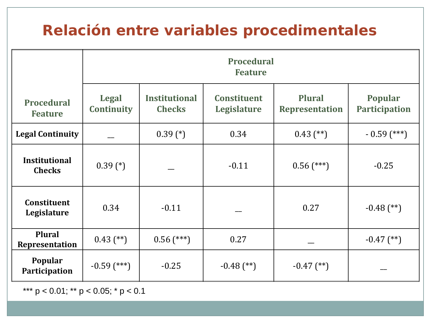#### **Relación entre variables procedimentales**

|                                       | <b>Procedural</b><br><b>Feature</b> |                                       |                                          |                                        |                                        |  |
|---------------------------------------|-------------------------------------|---------------------------------------|------------------------------------------|----------------------------------------|----------------------------------------|--|
| <b>Procedural</b><br><b>Feature</b>   | <b>Legal</b><br><b>Continuity</b>   | <b>Institutional</b><br><b>Checks</b> | <b>Constituent</b><br><b>Legislature</b> | <b>Plural</b><br><b>Representation</b> | <b>Popular</b><br><b>Participation</b> |  |
| <b>Legal Continuity</b>               |                                     | $0.39$ (*)                            | 0.34                                     | $0.43$ (**)                            | $-0.59$ (***)                          |  |
| <b>Institutional</b><br><b>Checks</b> | $0.39$ (*)                          |                                       | $-0.11$                                  | $0.56$ (***)                           | $-0.25$                                |  |
| <b>Constituent</b><br>Legislature     | 0.34                                | $-0.11$                               |                                          | 0.27                                   | $-0.48$ (**)                           |  |
| <b>Plural</b><br>Representation       | $0.43$ (**)                         | $0.56$ (***)                          | 0.27                                     |                                        | $-0.47$ (**)                           |  |
| Popular<br>Participation              | $-0.59$ (***)                       | $-0.25$                               | $-0.48$ (**)                             | $-0.47$ (**)                           |                                        |  |

\*\*\*  $p < 0.01$ ; \*\*  $p < 0.05$ ; \*  $p < 0.1$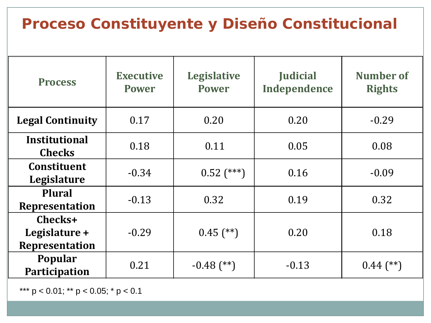## **Proceso Constituyente y Diseño Constitucional**

| <b>Process</b>                                    | <b>Executive</b><br><b>Power</b> | <b>Legislative</b><br><b>Power</b> | <b>Judicial</b><br>Independence | <b>Number of</b><br><b>Rights</b> |
|---------------------------------------------------|----------------------------------|------------------------------------|---------------------------------|-----------------------------------|
| <b>Legal Continuity</b>                           | 0.20<br>0.17                     |                                    | 0.20                            | $-0.29$                           |
| <b>Institutional</b><br><b>Checks</b>             | 0.18<br>0.11                     |                                    | 0.05                            | 0.08                              |
| <b>Constituent</b><br>Legislature                 | $-0.34$                          | $0.52$ (***)                       | 0.16                            | $-0.09$                           |
| <b>Plural</b><br><b>Representation</b>            | $-0.13$                          | 0.32                               | 0.19                            | 0.32                              |
| Checks+<br>Legislature +<br><b>Representation</b> | $-0.29$                          | $0.45$ (**)                        | 0.20                            | 0.18                              |
| Popular<br><b>Participation</b>                   | 0.21                             | $-0.48$ (**)                       | $-0.13$                         | $0.44$ (**)                       |

\*\*\*  $p < 0.01$ ; \*\*  $p < 0.05$ ; \*  $p < 0.1$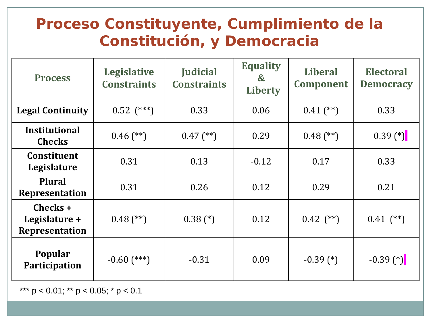## **Proceso Constituyente, Cumplimiento de la Constitución, y Democracia**

| <b>Process</b>                                     | <b>Legislative</b><br><b>Constraints</b> | <b>Judicial</b><br><b>Constraints</b> | <b>Equality</b><br>$\boldsymbol{\mathcal{S}}$<br><b>Liberty</b> | <b>Liberal</b><br><b>Component</b> | <b>Electoral</b><br><b>Democracy</b> |
|----------------------------------------------------|------------------------------------------|---------------------------------------|-----------------------------------------------------------------|------------------------------------|--------------------------------------|
| <b>Legal Continuity</b>                            | $0.52$ (***)                             | 0.33                                  | 0.06                                                            | $0.41$ (**)                        | 0.33                                 |
| <b>Institutional</b><br><b>Checks</b>              | $0.46$ (**)                              | $0.47$ (**)                           | 0.29                                                            | $0.48$ (**)                        | $0.39$ (*)                           |
| <b>Constituent</b><br>Legislature                  | 0.31                                     | 0.13                                  | $-0.12$                                                         | 0.17                               | 0.33                                 |
| <b>Plural</b><br><b>Representation</b>             | 0.31                                     | 0.26                                  | 0.12                                                            | 0.29                               | 0.21                                 |
| Checks +<br>Legislature +<br><b>Representation</b> | $0.48$ (**)                              | $0.38$ (*)                            | 0.12                                                            | $0.42$ (**)                        | $0.41$ (**)                          |
| Popular<br>Participation                           | $-0.60$ (***)                            | $-0.31$                               | 0.09                                                            | $-0.39$ $(*)$                      | $-0.39$ $(*)$                        |

\*\*\*  $p < 0.01$ ; \*\*  $p < 0.05$ ; \*  $p < 0.1$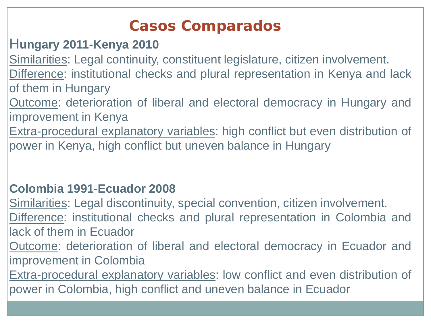## **Casos Comparados**

#### H**ungary 2011-Kenya 2010**

Similarities: Legal continuity, constituent legislature, citizen involvement.

Difference: institutional checks and plural representation in Kenya and lack of them in Hungary

Outcome: deterioration of liberal and electoral democracy in Hungary and improvement in Kenya

Extra-procedural explanatory variables: high conflict but even distribution of power in Kenya, high conflict but uneven balance in Hungary

#### **Colombia 1991-Ecuador 2008**

Similarities: Legal discontinuity, special convention, citizen involvement. Difference: institutional checks and plural representation in Colombia and lack of them in Ecuador

Outcome: deterioration of liberal and electoral democracy in Ecuador and improvement in Colombia

Extra-procedural explanatory variables: low conflict and even distribution of power in Colombia, high conflict and uneven balance in Ecuador